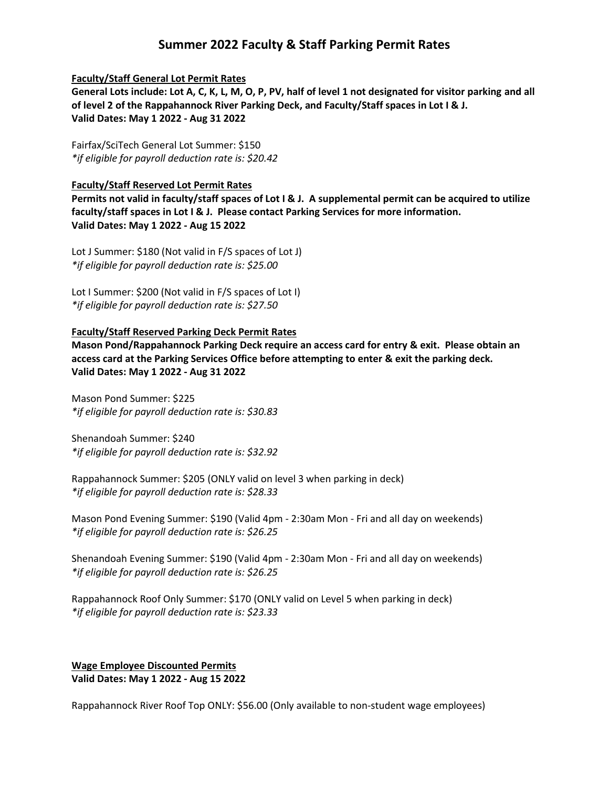# **Summer 2022 Faculty & Staff Parking Permit Rates**

### **Faculty/Staff General Lot Permit Rates**

**General Lots include: Lot A, C, K, L, M, O, P, PV, half of level 1 not designated for visitor parking and all of level 2 of the Rappahannock River Parking Deck, and Faculty/Staff spaces in Lot I & J. Valid Dates: May 1 2022 - Aug 31 2022**

Fairfax/SciTech General Lot Summer: \$150 *\*if eligible for payroll deduction rate is: \$20.42*

### **Faculty/Staff Reserved Lot Permit Rates**

**Permits not valid in faculty/staff spaces of Lot I & J. A supplemental permit can be acquired to utilize faculty/staff spaces in Lot I & J. Please contact Parking Services for more information. Valid Dates: May 1 2022 - Aug 15 2022**

Lot J Summer: \$180 (Not valid in F/S spaces of Lot J) *\*if eligible for payroll deduction rate is: \$25.00*

Lot I Summer: \$200 (Not valid in F/S spaces of Lot I) *\*if eligible for payroll deduction rate is: \$27.50*

### **Faculty/Staff Reserved Parking Deck Permit Rates**

**Mason Pond/Rappahannock Parking Deck require an access card for entry & exit. Please obtain an access card at the Parking Services Office before attempting to enter & exit the parking deck. Valid Dates: May 1 2022 - Aug 31 2022**

Mason Pond Summer: \$225 *\*if eligible for payroll deduction rate is: \$30.83*

Shenandoah Summer: \$240 *\*if eligible for payroll deduction rate is: \$32.92*

Rappahannock Summer: \$205 (ONLY valid on level 3 when parking in deck) *\*if eligible for payroll deduction rate is: \$28.33*

Mason Pond Evening Summer: \$190 (Valid 4pm - 2:30am Mon - Fri and all day on weekends) *\*if eligible for payroll deduction rate is: \$26.25*

Shenandoah Evening Summer: \$190 (Valid 4pm - 2:30am Mon - Fri and all day on weekends) *\*if eligible for payroll deduction rate is: \$26.25*

Rappahannock Roof Only Summer: \$170 (ONLY valid on Level 5 when parking in deck) *\*if eligible for payroll deduction rate is: \$23.33*

## **Wage Employee Discounted Permits Valid Dates: May 1 2022 - Aug 15 2022**

Rappahannock River Roof Top ONLY: \$56.00 (Only available to non-student wage employees)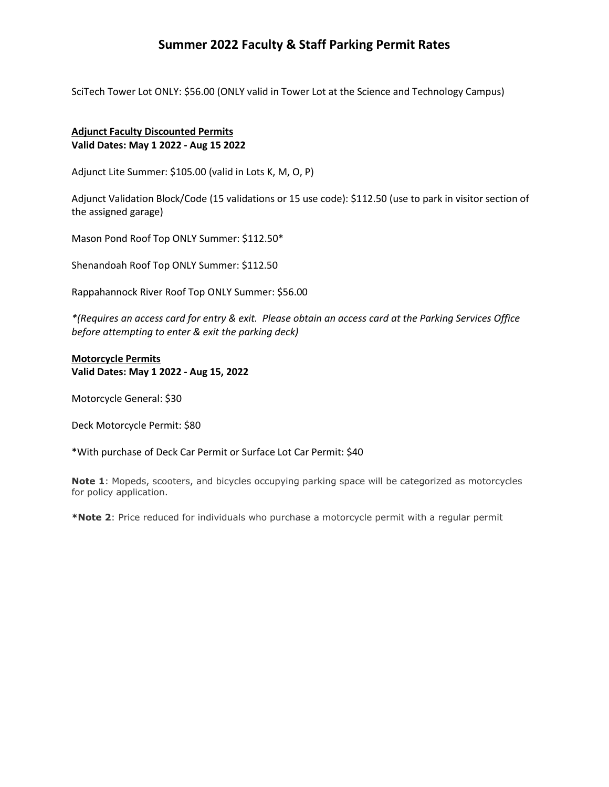# **Summer 2022 Faculty & Staff Parking Permit Rates**

SciTech Tower Lot ONLY: \$56.00 (ONLY valid in Tower Lot at the Science and Technology Campus)

## **Adjunct Faculty Discounted Permits Valid Dates: May 1 2022 - Aug 15 2022**

Adjunct Lite Summer: \$105.00 (valid in Lots K, M, O, P)

Adjunct Validation Block/Code (15 validations or 15 use code): \$112.50 (use to park in visitor section of the assigned garage)

Mason Pond Roof Top ONLY Summer: \$112.50\*

Shenandoah Roof Top ONLY Summer: \$112.50

Rappahannock River Roof Top ONLY Summer: \$56.00

*\*(Requires an access card for entry & exit. Please obtain an access card at the Parking Services Office before attempting to enter & exit the parking deck)*

### **Motorcycle Permits Valid Dates: May 1 2022 - Aug 15, 2022**

Motorcycle General: \$30

Deck Motorcycle Permit: \$80

\*With purchase of Deck Car Permit or Surface Lot Car Permit: \$40

**Note 1**: Mopeds, scooters, and bicycles occupying parking space will be categorized as motorcycles for policy application.

**\*Note 2**: Price reduced for individuals who purchase a motorcycle permit with a regular permit